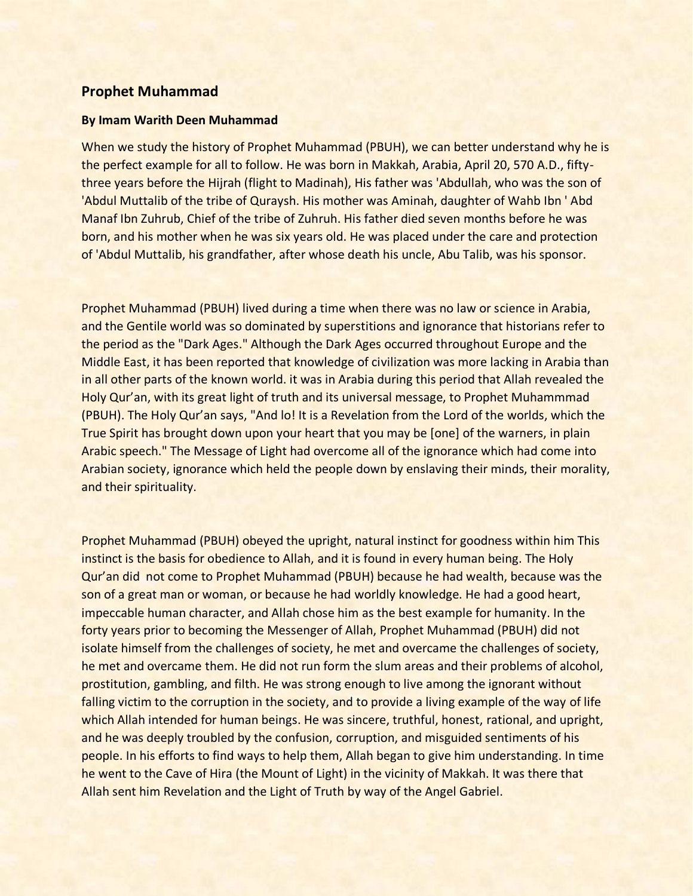## **Prophet Muhammad**

## **By Imam Warith Deen Muhammad**

When we study the history of Prophet Muhammad (PBUH), we can better understand why he is the perfect example for all to follow. He was born in Makkah, Arabia, April 20, 570 A.D., fiftythree years before the Hijrah (flight to Madinah), His father was 'Abdullah, who was the son of 'Abdul Muttalib of the tribe of Quraysh. His mother was Aminah, daughter of Wahb Ibn ' Abd Manaf Ibn Zuhrub, Chief of the tribe of Zuhruh. His father died seven months before he was born, and his mother when he was six years old. He was placed under the care and protection of 'Abdul Muttalib, his grandfather, after whose death his uncle, Abu Talib, was his sponsor.

Prophet Muhammad (PBUH) lived during a time when there was no law or science in Arabia, and the Gentile world was so dominated by superstitions and ignorance that historians refer to the period as the "Dark Ages." Although the Dark Ages occurred throughout Europe and the Middle East, it has been reported that knowledge of civilization was more lacking in Arabia than in all other parts of the known world. it was in Arabia during this period that Allah revealed the Holy Qur'an, with its great light of truth and its universal message, to Prophet Muhammmad (PBUH). The Holy Qur'an says, "And lo! It is a Revelation from the Lord of the worlds, which the True Spirit has brought down upon your heart that you may be [one] of the warners, in plain Arabic speech." The Message of Light had overcome all of the ignorance which had come into Arabian society, ignorance which held the people down by enslaving their minds, their morality, and their spirituality.

Prophet Muhammad (PBUH) obeyed the upright, natural instinct for goodness within him This instinct is the basis for obedience to Allah, and it is found in every human being. The Holy Qur'an did not come to Prophet Muhammad (PBUH) because he had wealth, because was the son of a great man or woman, or because he had worldly knowledge. He had a good heart, impeccable human character, and Allah chose him as the best example for humanity. In the forty years prior to becoming the Messenger of Allah, Prophet Muhammad (PBUH) did not isolate himself from the challenges of society, he met and overcame the challenges of society, he met and overcame them. He did not run form the slum areas and their problems of alcohol, prostitution, gambling, and filth. He was strong enough to live among the ignorant without falling victim to the corruption in the society, and to provide a living example of the way of life which Allah intended for human beings. He was sincere, truthful, honest, rational, and upright, and he was deeply troubled by the confusion, corruption, and misguided sentiments of his people. In his efforts to find ways to help them, Allah began to give him understanding. In time he went to the Cave of Hira (the Mount of Light) in the vicinity of Makkah. It was there that Allah sent him Revelation and the Light of Truth by way of the Angel Gabriel.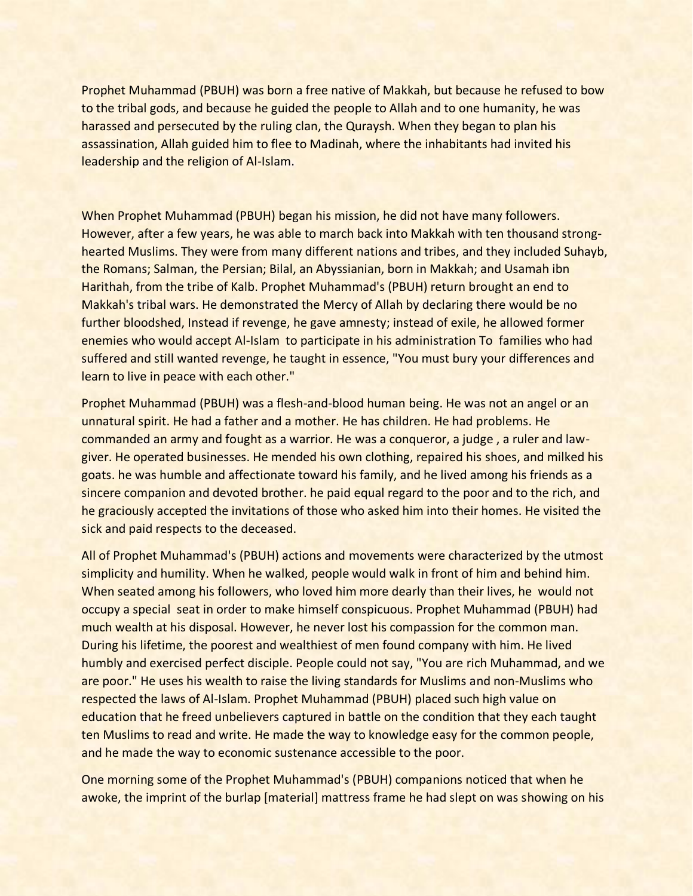Prophet Muhammad (PBUH) was born a free native of Makkah, but because he refused to bow to the tribal gods, and because he guided the people to Allah and to one humanity, he was harassed and persecuted by the ruling clan, the Quraysh. When they began to plan his assassination, Allah guided him to flee to Madinah, where the inhabitants had invited his leadership and the religion of Al-Islam.

When Prophet Muhammad (PBUH) began his mission, he did not have many followers. However, after a few years, he was able to march back into Makkah with ten thousand stronghearted Muslims. They were from many different nations and tribes, and they included Suhayb, the Romans; Salman, the Persian; Bilal, an Abyssianian, born in Makkah; and Usamah ibn Harithah, from the tribe of Kalb. Prophet Muhammad's (PBUH) return brought an end to Makkah's tribal wars. He demonstrated the Mercy of Allah by declaring there would be no further bloodshed, Instead if revenge, he gave amnesty; instead of exile, he allowed former enemies who would accept Al-Islam to participate in his administration To families who had suffered and still wanted revenge, he taught in essence, "You must bury your differences and learn to live in peace with each other."

Prophet Muhammad (PBUH) was a flesh-and-blood human being. He was not an angel or an unnatural spirit. He had a father and a mother. He has children. He had problems. He commanded an army and fought as a warrior. He was a conqueror, a judge , a ruler and lawgiver. He operated businesses. He mended his own clothing, repaired his shoes, and milked his goats. he was humble and affectionate toward his family, and he lived among his friends as a sincere companion and devoted brother. he paid equal regard to the poor and to the rich, and he graciously accepted the invitations of those who asked him into their homes. He visited the sick and paid respects to the deceased.

All of Prophet Muhammad's (PBUH) actions and movements were characterized by the utmost simplicity and humility. When he walked, people would walk in front of him and behind him. When seated among his followers, who loved him more dearly than their lives, he would not occupy a special seat in order to make himself conspicuous. Prophet Muhammad (PBUH) had much wealth at his disposal. However, he never lost his compassion for the common man. During his lifetime, the poorest and wealthiest of men found company with him. He lived humbly and exercised perfect disciple. People could not say, "You are rich Muhammad, and we are poor." He uses his wealth to raise the living standards for Muslims and non-Muslims who respected the laws of Al-Islam. Prophet Muhammad (PBUH) placed such high value on education that he freed unbelievers captured in battle on the condition that they each taught ten Muslims to read and write. He made the way to knowledge easy for the common people, and he made the way to economic sustenance accessible to the poor.

One morning some of the Prophet Muhammad's (PBUH) companions noticed that when he awoke, the imprint of the burlap [material] mattress frame he had slept on was showing on his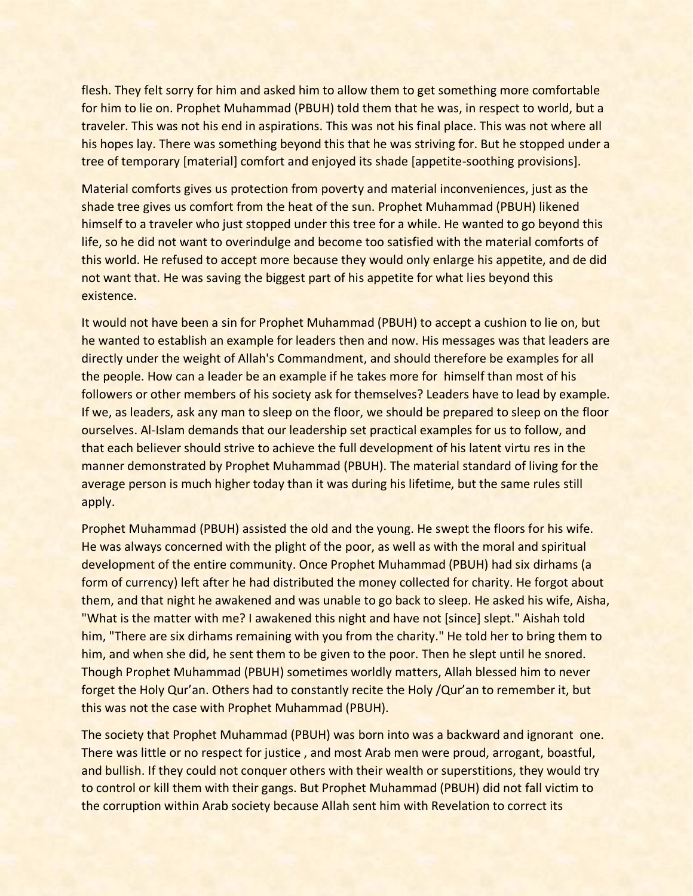flesh. They felt sorry for him and asked him to allow them to get something more comfortable for him to lie on. Prophet Muhammad (PBUH) told them that he was, in respect to world, but a traveler. This was not his end in aspirations. This was not his final place. This was not where all his hopes lay. There was something beyond this that he was striving for. But he stopped under a tree of temporary [material] comfort and enjoyed its shade [appetite-soothing provisions].

Material comforts gives us protection from poverty and material inconveniences, just as the shade tree gives us comfort from the heat of the sun. Prophet Muhammad (PBUH) likened himself to a traveler who just stopped under this tree for a while. He wanted to go beyond this life, so he did not want to overindulge and become too satisfied with the material comforts of this world. He refused to accept more because they would only enlarge his appetite, and de did not want that. He was saving the biggest part of his appetite for what lies beyond this existence.

It would not have been a sin for Prophet Muhammad (PBUH) to accept a cushion to lie on, but he wanted to establish an example for leaders then and now. His messages was that leaders are directly under the weight of Allah's Commandment, and should therefore be examples for all the people. How can a leader be an example if he takes more for himself than most of his followers or other members of his society ask for themselves? Leaders have to lead by example. If we, as leaders, ask any man to sleep on the floor, we should be prepared to sleep on the floor ourselves. Al-Islam demands that our leadership set practical examples for us to follow, and that each believer should strive to achieve the full development of his latent virtu res in the manner demonstrated by Prophet Muhammad (PBUH). The material standard of living for the average person is much higher today than it was during his lifetime, but the same rules still apply.

Prophet Muhammad (PBUH) assisted the old and the young. He swept the floors for his wife. He was always concerned with the plight of the poor, as well as with the moral and spiritual development of the entire community. Once Prophet Muhammad (PBUH) had six dirhams (a form of currency) left after he had distributed the money collected for charity. He forgot about them, and that night he awakened and was unable to go back to sleep. He asked his wife, Aisha, "What is the matter with me? I awakened this night and have not [since] slept." Aishah told him, "There are six dirhams remaining with you from the charity." He told her to bring them to him, and when she did, he sent them to be given to the poor. Then he slept until he snored. Though Prophet Muhammad (PBUH) sometimes worldly matters, Allah blessed him to never forget the Holy Qur'an. Others had to constantly recite the Holy /Qur'an to remember it, but this was not the case with Prophet Muhammad (PBUH).

The society that Prophet Muhammad (PBUH) was born into was a backward and ignorant one. There was little or no respect for justice , and most Arab men were proud, arrogant, boastful, and bullish. If they could not conquer others with their wealth or superstitions, they would try to control or kill them with their gangs. But Prophet Muhammad (PBUH) did not fall victim to the corruption within Arab society because Allah sent him with Revelation to correct its